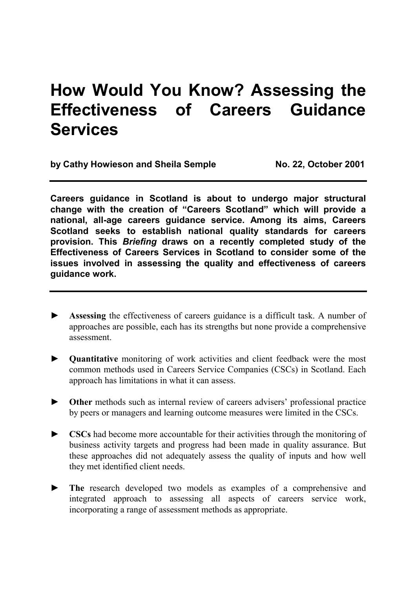# **How Would You Know? Assessing the Effectiveness of Careers Guidance Services**

by Cathy Howieson and Sheila Semple No. 22, October 2001

**Careers guidance in Scotland is about to undergo major structural change with the creation of "Careers Scotland" which will provide a national, all-age careers guidance service. Among its aims, Careers Scotland seeks to establish national quality standards for careers provision. This** *Briefing* **draws on a recently completed study of the Effectiveness of Careers Services in Scotland to consider some of the issues involved in assessing the quality and effectiveness of careers guidance work.** 

- Assessing the effectiveness of careers guidance is a difficult task. A number of approaches are possible, each has its strengths but none provide a comprehensive assessment.
- ► **Quantitative** monitoring of work activities and client feedback were the most common methods used in Careers Service Companies (CSCs) in Scotland. Each approach has limitations in what it can assess.
- ► **Other** methods such as internal review of careers advisers' professional practice by peers or managers and learning outcome measures were limited in the CSCs.
- ► **CSCs** had become more accountable for their activities through the monitoring of business activity targets and progress had been made in quality assurance. But these approaches did not adequately assess the quality of inputs and how well they met identified client needs.
- ► **The** research developed two models as examples of a comprehensive and integrated approach to assessing all aspects of careers service work, incorporating a range of assessment methods as appropriate.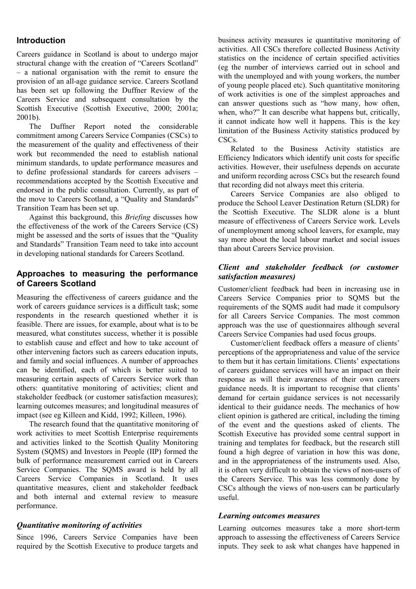# **Introduction**

Careers guidance in Scotland is about to undergo major structural change with the creation of "Careers Scotland" – a national organisation with the remit to ensure the provision of an all-age guidance service. Careers Scotland has been set up following the Duffner Review of the Careers Service and subsequent consultation by the Scottish Executive (Scottish Executive, 2000; 2001a; 2001b).

 The Duffner Report noted the considerable commitment among Careers Service Companies (CSCs) to the measurement of the quality and effectiveness of their work but recommended the need to establish national minimum standards, to update performance measures and to define professional standards for careers advisers – recommendations accepted by the Scottish Executive and endorsed in the public consultation. Currently, as part of the move to Careers Scotland, a "Quality and Standards" Transition Team has been set up.

 Against this background, this *Briefing* discusses how the effectiveness of the work of the Careers Service (CS) might be assessed and the sorts of issues that the "Quality and Standards" Transition Team need to take into account in developing national standards for Careers Scotland.

#### **Approaches to measuring the performance of Careers Scotland**

Measuring the effectiveness of careers guidance and the work of careers guidance services is a difficult task; some respondents in the research questioned whether it is feasible. There are issues, for example, about what is to be measured, what constitutes success, whether it is possible to establish cause and effect and how to take account of other intervening factors such as careers education inputs, and family and social influences. A number of approaches can be identified, each of which is better suited to measuring certain aspects of Careers Service work than others: quantitative monitoring of activities; client and stakeholder feedback (or customer satisfaction measures); learning outcomes measures; and longitudinal measures of impact (see eg Killeen and Kidd, 1992; Killeen, 1996).

 The research found that the quantitative monitoring of work activities to meet Scottish Enterprise requirements and activities linked to the Scottish Quality Monitoring System (SQMS) and Investors in People (IIP) formed the bulk of performance measurement carried out in Careers Service Companies. The SQMS award is held by all Careers Service Companies in Scotland. It uses quantitative measures, client and stakeholder feedback and both internal and external review to measure performance.

#### *Quantitative monitoring of activities*

Since 1996, Careers Service Companies have been required by the Scottish Executive to produce targets and business activity measures ie quantitative monitoring of activities. All CSCs therefore collected Business Activity statistics on the incidence of certain specified activities (eg the number of interviews carried out in school and with the unemployed and with young workers, the number of young people placed etc). Such quantitative monitoring of work activities is one of the simplest approaches and can answer questions such as "how many, how often, when, who?" It can describe what happens but, critically, it cannot indicate how well it happens. This is the key limitation of the Business Activity statistics produced by CSCs.

 Related to the Business Activity statistics are Efficiency Indicators which identify unit costs for specific activities. However, their usefulness depends on accurate and uniform recording across CSCs but the research found that recording did not always meet this criteria.

 Careers Service Companies are also obliged to produce the School Leaver Destination Return (SLDR) for the Scottish Executive. The SLDR alone is a blunt measure of effectiveness of Careers Service work. Levels of unemployment among school leavers, for example, may say more about the local labour market and social issues than about Careers Service provision.

#### *Client and stakeholder feedback (or customer satisfaction measures)*

Customer/client feedback had been in increasing use in Careers Service Companies prior to SQMS but the requirements of the SQMS audit had made it compulsory for all Careers Service Companies. The most common approach was the use of questionnaires although several Careers Service Companies had used focus groups.

 Customer/client feedback offers a measure of clients' perceptions of the appropriateness and value of the service to them but it has certain limitations. Clients' expectations of careers guidance services will have an impact on their response as will their awareness of their own careers guidance needs. It is important to recognise that clients' demand for certain guidance services is not necessarily identical to their guidance needs. The mechanics of how client opinion is gathered are critical, including the timing of the event and the questions asked of clients. The Scottish Executive has provided some central support in training and templates for feedback, but the research still found a high degree of variation in how this was done, and in the appropriateness of the instruments used. Also, it is often very difficult to obtain the views of non-users of the Careers Service. This was less commonly done by CSCs although the views of non-users can be particularly useful.

#### *Learning outcomes measures*

Learning outcomes measures take a more short-term approach to assessing the effectiveness of Careers Service inputs. They seek to ask what changes have happened in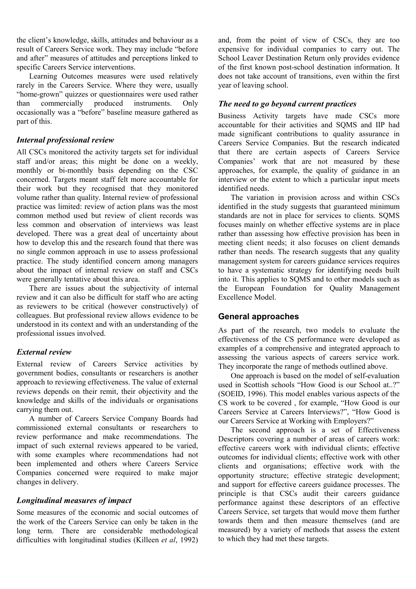the client's knowledge, skills, attitudes and behaviour as a result of Careers Service work. They may include "before and after" measures of attitudes and perceptions linked to specific Careers Service interventions.

 Learning Outcomes measures were used relatively rarely in the Careers Service. Where they were, usually "home-grown" quizzes or questionnaires were used rather than commercially produced instruments. Only occasionally was a "before" baseline measure gathered as part of this.

#### *Internal professional review*

All CSCs monitored the activity targets set for individual staff and/or areas; this might be done on a weekly, monthly or bi-monthly basis depending on the CSC concerned. Targets meant staff felt more accountable for their work but they recognised that they monitored volume rather than quality. Internal review of professional practice was limited: review of action plans was the most common method used but review of client records was less common and observation of interviews was least developed. There was a great deal of uncertainty about how to develop this and the research found that there was no single common approach in use to assess professional practice. The study identified concern among managers about the impact of internal review on staff and CSCs were generally tentative about this area.

 There are issues about the subjectivity of internal review and it can also be difficult for staff who are acting as reviewers to be critical (however constructively) of colleagues. But professional review allows evidence to be understood in its context and with an understanding of the professional issues involved.

# *External review*

External review of Careers Service activities by government bodies, consultants or researchers is another approach to reviewing effectiveness. The value of external reviews depends on their remit, their objectivity and the knowledge and skills of the individuals or organisations carrying them out.

 A number of Careers Service Company Boards had commissioned external consultants or researchers to review performance and make recommendations. The impact of such external reviews appeared to be varied, with some examples where recommendations had not been implemented and others where Careers Service Companies concerned were required to make major changes in delivery.

# *Longitudinal measures of impact*

Some measures of the economic and social outcomes of the work of the Careers Service can only be taken in the long term. There are considerable methodological difficulties with longitudinal studies (Killeen *et al*, 1992) and, from the point of view of CSCs, they are too expensive for individual companies to carry out. The School Leaver Destination Return only provides evidence of the first known post-school destination information. It does not take account of transitions, even within the first year of leaving school.

# *The need to go beyond current practices*

Business Activity targets have made CSCs more accountable for their activities and SQMS and IIP had made significant contributions to quality assurance in Careers Service Companies. But the research indicated that there are certain aspects of Careers Service Companies' work that are not measured by these approaches, for example, the quality of guidance in an interview or the extent to which a particular input meets identified needs.

 The variation in provision across and within CSCs identified in the study suggests that guaranteed minimum standards are not in place for services to clients. SQMS focuses mainly on whether effective systems are in place rather than assessing how effective provision has been in meeting client needs; it also focuses on client demands rather than needs. The research suggests that any quality management system for careers guidance services requires to have a systematic strategy for identifying needs built into it. This applies to SQMS and to other models such as the European Foundation for Quality Management Excellence Model.

# **General approaches**

As part of the research, two models to evaluate the effectiveness of the CS performance were developed as examples of a comprehensive and integrated approach to assessing the various aspects of careers service work. They incorporate the range of methods outlined above.

 One approach is based on the model of self-evaluation used in Scottish schools "How Good is our School at..?" (SOEID, 1996). This model enables various aspects of the CS work to be covered , for example, "How Good is our Careers Service at Careers Interviews?", "How Good is our Careers Service at Working with Employers?"

 The second approach is a set of Effectiveness Descriptors covering a number of areas of careers work: effective careers work with individual clients; effective outcomes for individual clients; effective work with other clients and organisations; effective work with the opportunity structure; effective strategic development; and support for effective careers guidance processes. The principle is that CSCs audit their careers guidance performance against these descriptors of an effective Careers Service, set targets that would move them further towards them and then measure themselves (and are measured) by a variety of methods that assess the extent to which they had met these targets.